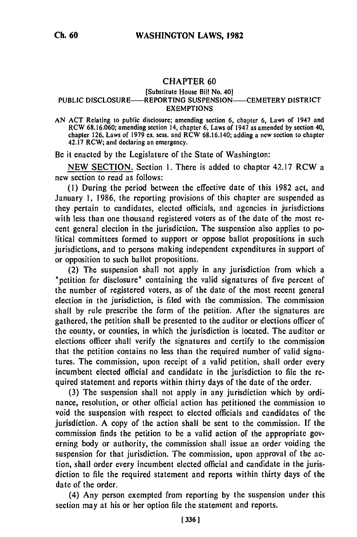## CHAPTER **60**

## [Substitute House Bill No. **40]** PUBLIC DISCLOSURE—REPORTING SUSPENSION—CEMETERY DISTRICT EXEMPTIONS

AN ACT Relating to public disclosure; amending section 6, chapter **6,** Laws of 1947 and ACT RELATING TO PUDIC DISCLOSURE; amending section 6, Chapter 6, Laws of 1947 and<br>DCW 68.16.060; amending section 14, chapter 6, Laws of 1947 as amended by section 40,  $\mu$  chapter 126, Laws of 1979 ex. sees. and RCW 68.16.140; adding a new section to chapter chapter 126, Laws of 1979 ex. sess. and  $RCW$  68.16.140; adding a new section to chapter 42.17  $RCW$ ; and declaring an emergency.

Be it enacted by the Legislature of the State of Washington:

NEW SECTION. Section 1. There is added to chapter 42.17 RCW a new section to read as follows:

**(1)** During the period between the effective date of this 1982 act, and January 1, 1986, the reporting provisions of this chapter are suspended as they pertain to candidates, elected officials, and agencies in jurisdictions with less than one thousand registered voters as of the date of the most recent general election in the jurisdiction. The suspension also applies to political committees formed to support or oppose ballot propositions in such jurisdictions, and to persons making independent expenditures in support of or opposition to such ballot propositions.

(2) The suspension shall not apply in any jurisdiction from which a "petition for disclosure" containing the valid signatures of five percent of the number of registered voters, as of the date of the most recent general election in the jurisdiction, is filed with the commission. The commission shall by rule prescribe the form of the petition. After the signatures are gathered, the petition shall be presented to the auditor or elections officer of the county, or counties, in which the jurisdiction is located. The auditor or elections officer shall verify the signatures and certify to the commission that the petition contains no less than the required number of valid signatures. The commission, upon receipt of a valid petition, shall order every incumbent elected official and candidate in the jurisdiction to file the required statement and reports within thirty days of the date of the order.

(3) The suspension shall not apply in any jurisdiction which by ordinance, resolution, or other official action has petitioned the commission to void the suspension with respect to elected officials and candidates of the jurisdiction. A copy of the action shall be sent to the commission. If the commission finds the petition to be a valid action of the appropriate governing body or authority, the commission shall issue an order voiding the suspension for that jurisdiction. The commission, upon approval of the action, shall order every incumbent elected official and candidate in the jurisdiction to file the required statement and reports within thirty days of the date of the order.

(4) Any person exempted from reporting by the suspension under this section may at his or her option file the statement and reports.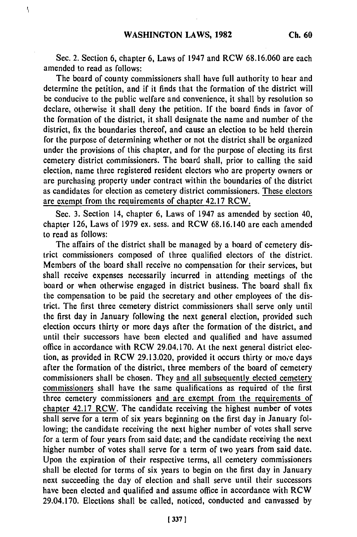$I_i$ 

Sec. 2. Section **6,** chapter 6, Laws of 1947 and RCW 68.16.060 are each amended to read as follows:

The board of county commissioners shall have full authority to hear and determine the petition, and if it finds that the formation of the district will be conducive to the public welfare and convenience, it shall by resolution so declare, otherwise it shall deny the petition. If the board finds in favor of the formation of the district, it shall designate the name and number of the district, fix the boundaries thereof, and cause an election to be held therein for the purpose of determining whether or not the district shall be organized under the provisions of this chapter, and for the purpose of electing its first cemetery district commissioners. The board shall, prior to calling the said election, name three registered resident electors who are property owners or are purchasing property under contract within the boundaries of the district as candidates for election as cemetery district commissioners. These electors are exempt from the requirements of chapter 42.17 RCW.

Sec. 3. Section 14, chapter 6, Laws of 1947 as amended by section 40, chapter 126, Laws of 1979 ex. sess. and RCW 68.16.140 are each amended to read as follows:

The affairs of the district shall be managed by a board of cemetery district commissioners composed of three qualified electors of the district. Members of the board shall receive no compensation for their services, but shall receive expenses necessarily incurred in attending meetings of the board or when otherwise engaged in district business. The board shall fix the compensation to be paid the secretary and other employees of the district. The first three cemetery district commissioners shall serve only until the first day in January following the next general election, provided such election occurs thirty or more days after the formation of the district, and until their successors have been elected and qualified and have assumed office in accordance with RCW 29.04.170. At the next general district election, as provided in RCW 29.13.020, provided it occurs thirty or mo,'e days after the formation of the district, three members of the board of cemetery commissioners shall be chosen. They and all subsequently elected cemetery commissioners shall have the same qualifications as required of the first three cemetery commissioners and are exempt from the requirements of chapter 42.17 RCW. The candidate receiving the highest number of votes shall serve for a term of six years beginning on the first day in January following; the candidate receiving the next higher number of votes shall serve for a term of four years from said date; and the candidate receiving the next higher number of votes shall serve for a term of two years from said date. Upon the expiration of their respective terms, all cemetery commissioners shall be elected for terms of six years to begin on the first day in January next succeeding the day of election and shall serve until their successors have been elected and qualified and assume office in accordance with RCW 29.04.170. Elections shall be called, noticed, conducted and canvassed by